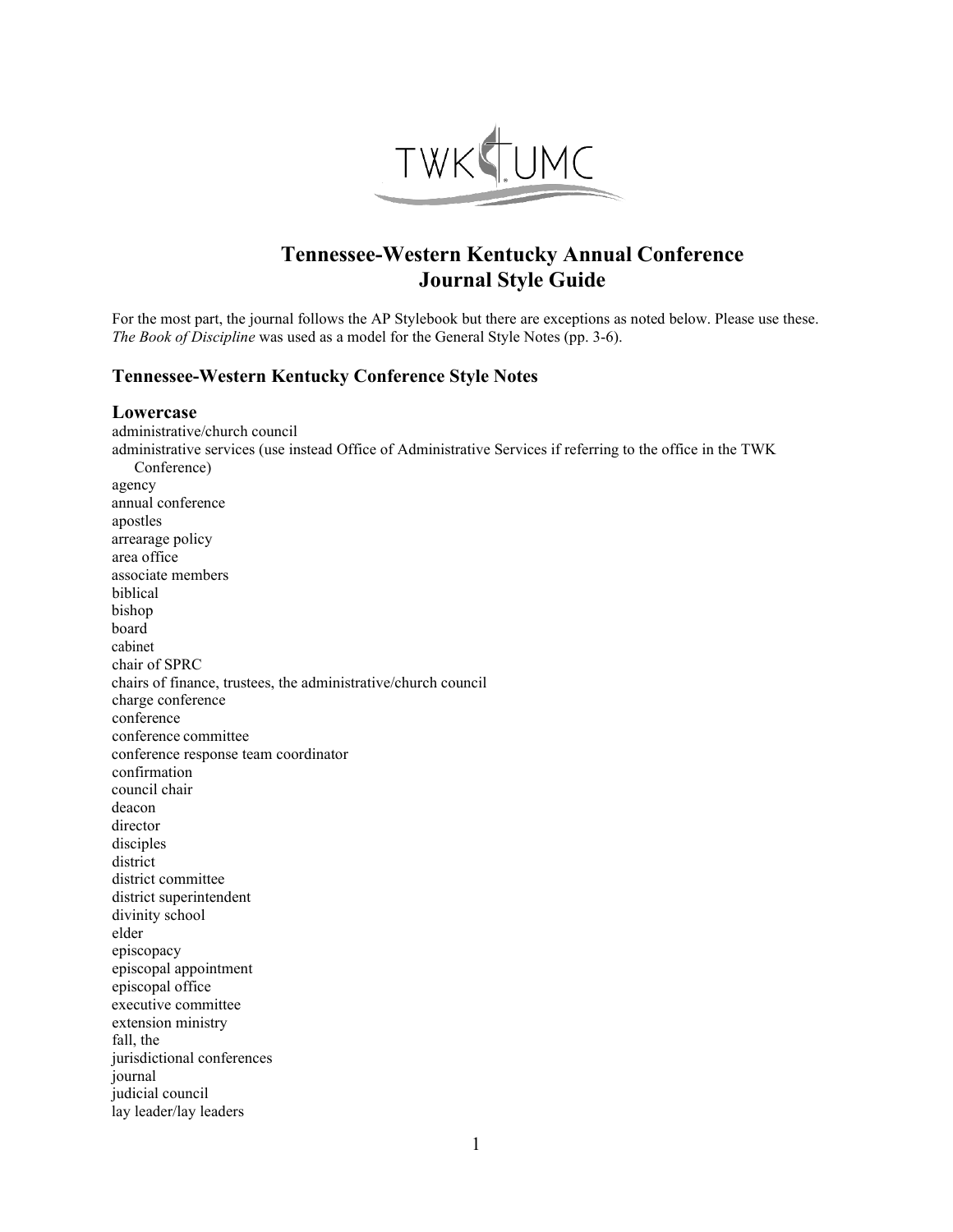

# **Tennessee-Western Kentucky Annual Conference Journal Style Guide**

For the most part, the journal follows the AP Stylebook but there are exceptions as noted below. Please use these. *The Book of Discipline* was used as a model for the General Style Notes (pp. 3-6).

# **Tennessee-Western Kentucky Conference Style Notes**

## **Lowercase**

administrative/church council administrative services (use instead Office of Administrative Services if referring to the office in the TWK Conference) agency annual conference apostles arrearage policy area office associate members biblical bishop board cabinet chair of SPRC chairs of finance, trustees, the administrative/church council charge conference conference conference committee conference response team coordinator confirmation council chair deacon director disciples district district committee district superintendent divinity school elder episcopacy episcopal appointment episcopal office executive committee extension ministry fall, the jurisdictional conferences journal judicial council lay leader/lay leaders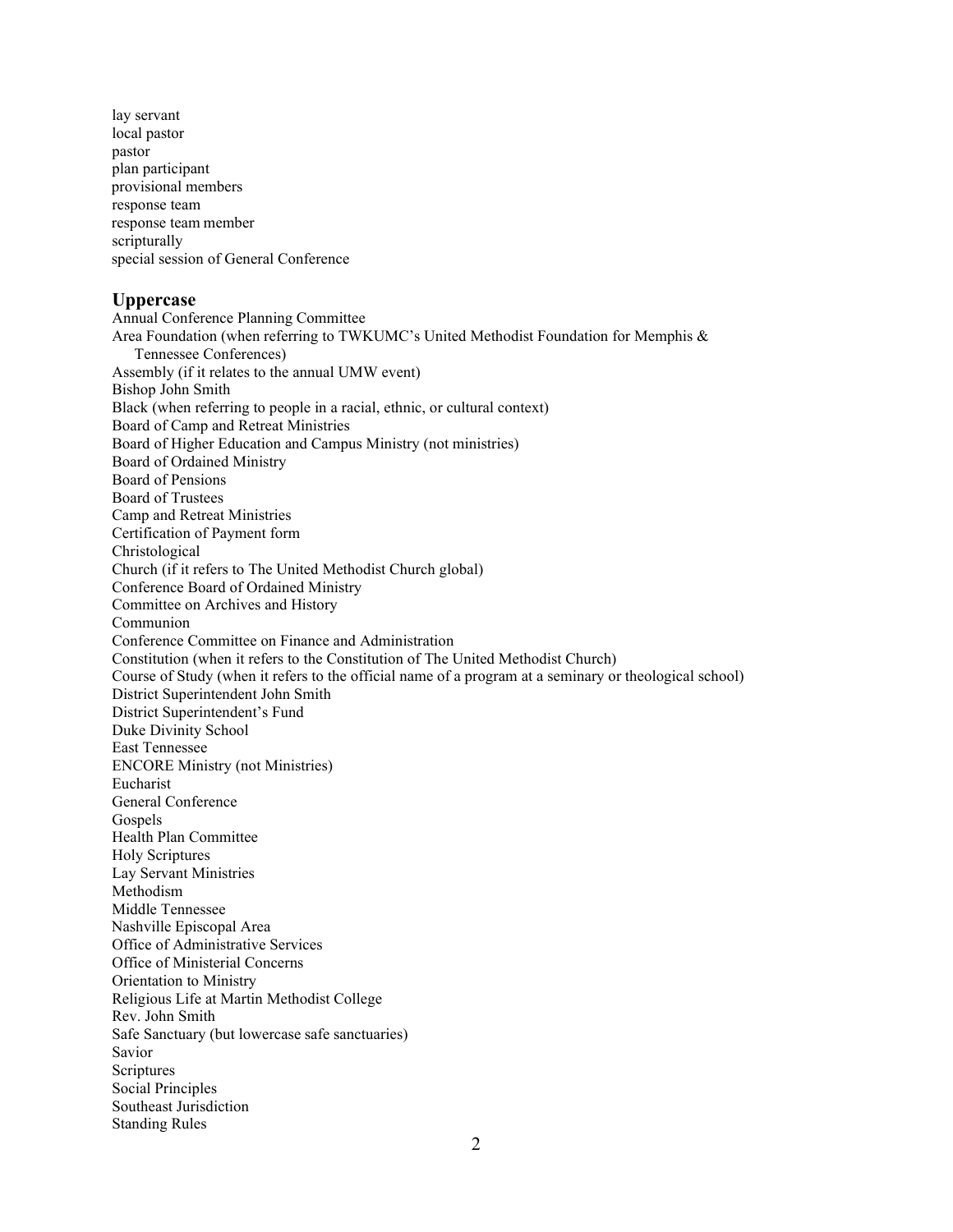lay servant local pastor pastor plan participant provisional members response team response team member scripturally special session of General Conference

## **Uppercase**

Annual Conference Planning Committee Area Foundation (when referring to TWKUMC's United Methodist Foundation for Memphis & Tennessee Conferences) Assembly (if it relates to the annual UMW event) Bishop John Smith Black (when referring to people in a racial, ethnic, or cultural context) Board of Camp and Retreat Ministries Board of Higher Education and Campus Ministry (not ministries) Board of Ordained Ministry Board of Pensions Board of Trustees Camp and Retreat Ministries Certification of Payment form Christological Church (if it refers to The United Methodist Church global) Conference Board of Ordained Ministry Committee on Archives and History Communion Conference Committee on Finance and Administration Constitution (when it refers to the Constitution of The United Methodist Church) Course of Study (when it refers to the official name of a program at a seminary or theological school) District Superintendent John Smith District Superintendent's Fund Duke Divinity School East Tennessee ENCORE Ministry (not Ministries) Eucharist General Conference Gospels Health Plan Committee Holy Scriptures Lay Servant Ministries Methodism Middle Tennessee Nashville Episcopal Area Office of Administrative Services Office of Ministerial Concerns Orientation to Ministry Religious Life at Martin Methodist College Rev. John Smith Safe Sanctuary (but lowercase safe sanctuaries) Savior Scriptures Social Principles Southeast Jurisdiction Standing Rules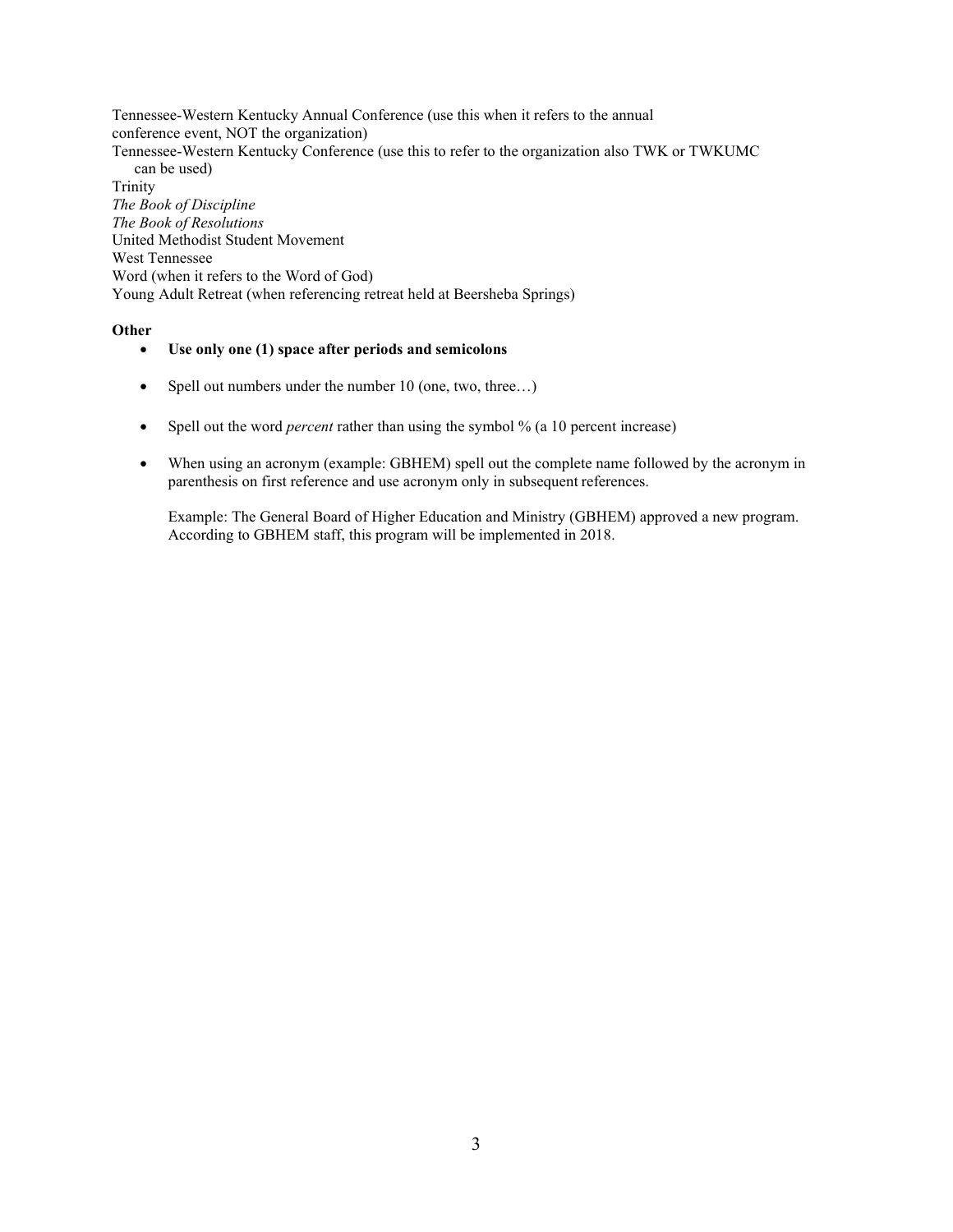Tennessee-Western Kentucky Annual Conference (use this when it refers to the annual conference event, NOT the organization) Tennessee-Western Kentucky Conference (use this to refer to the organization also TWK or TWKUMC can be used) Trinity *The Book of Discipline The Book of Resolutions* United Methodist Student Movement West Tennessee Word (when it refers to the Word of God) Young Adult Retreat (when referencing retreat held at Beersheba Springs)

#### **Other**

#### • **Use only one (1) space after periods and semicolons**

- Spell out numbers under the number 10 (one, two, three...)
- Spell out the word *percent* rather than using the symbol % (a 10 percent increase)
- When using an acronym (example: GBHEM) spell out the complete name followed by the acronym in parenthesis on first reference and use acronym only in subsequent references.

Example: The General Board of Higher Education and Ministry (GBHEM) approved a new program. According to GBHEM staff, this program will be implemented in 2018.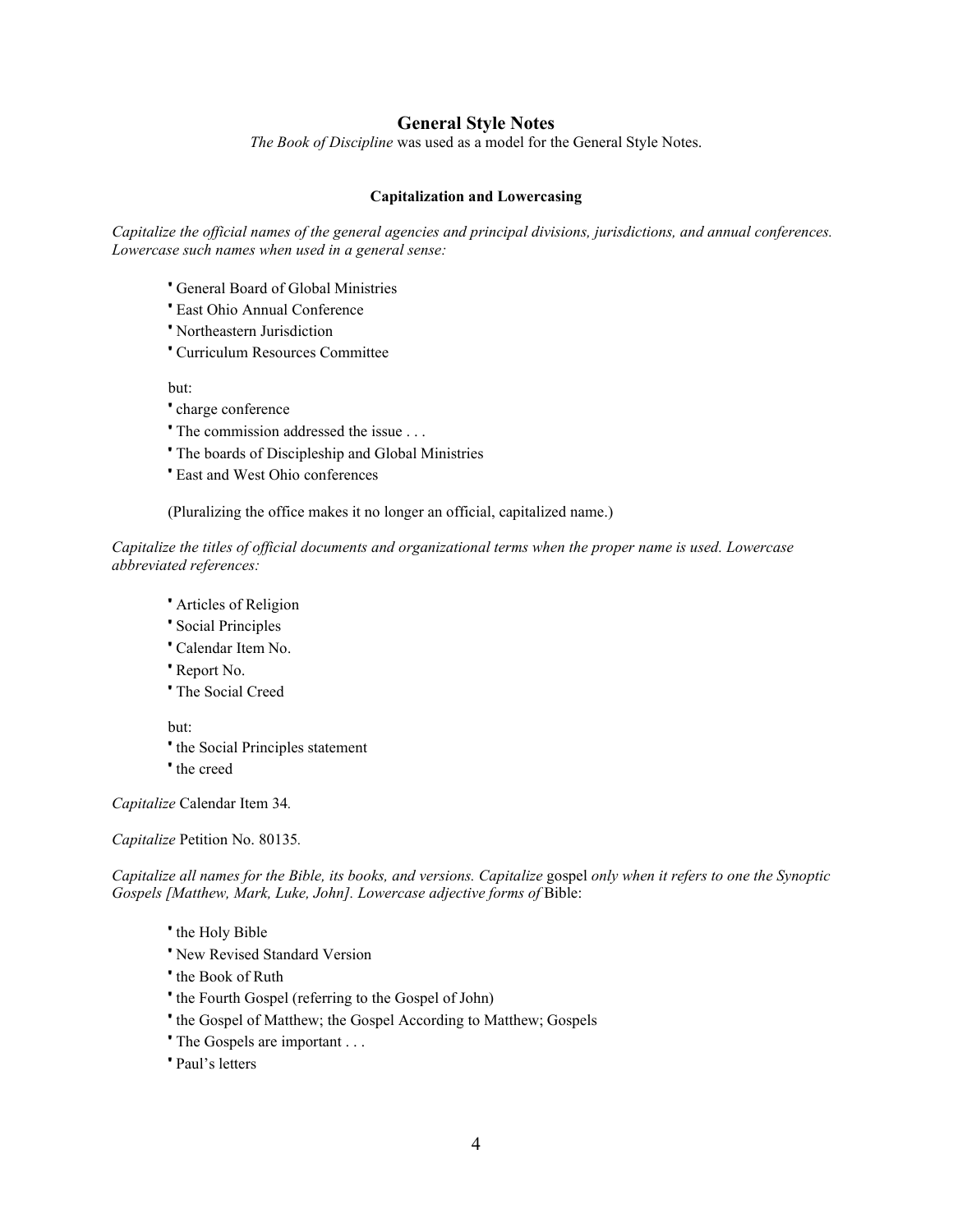## **General Style Notes**

*The Book of Discipline* was used as a model for the General Style Notes.

# **Capitalization and Lowercasing**

*Capitalize the official names of the general agencies and principal divisions, jurisdictions, and annual conferences. Lowercase such names when used in a general sense:*

- ' General Board of Global Ministries
- ' East Ohio Annual Conference
- ' Northeastern Jurisdiction
- ' Curriculum Resources Committee

but:

- ' charge conference
- ' The commission addressed the issue . . .
- ' The boards of Discipleship and Global Ministries
- ' East and West Ohio conferences

(Pluralizing the office makes it no longer an official, capitalized name.)

*Capitalize the titles of official documents and organizational terms when the proper name is used. Lowercase abbreviated references:*

- ' Articles of Religion
- ' Social Principles
- ' Calendar Item No.
- ' Report No.
- ' The Social Creed

but:

- ' the Social Principles statement
- ' the creed

*Capitalize* Calendar Item 34*.* 

#### *Capitalize* Petition No. 80135*.*

*Capitalize all names for the Bible, its books, and versions. Capitalize* gospel *only when it refers to one the Synoptic*  Gospels [Matthew, Mark, Luke, John]. Lowercase adjective forms of Bible:

- ' the Holy Bible
- ' New Revised Standard Version
- ' the Book of Ruth
- ' the Fourth Gospel (referring to the Gospel of John)
- ' the Gospel of Matthew; the Gospel According to Matthew; Gospels
- ' The Gospels are important . . .
- ' Paul's letters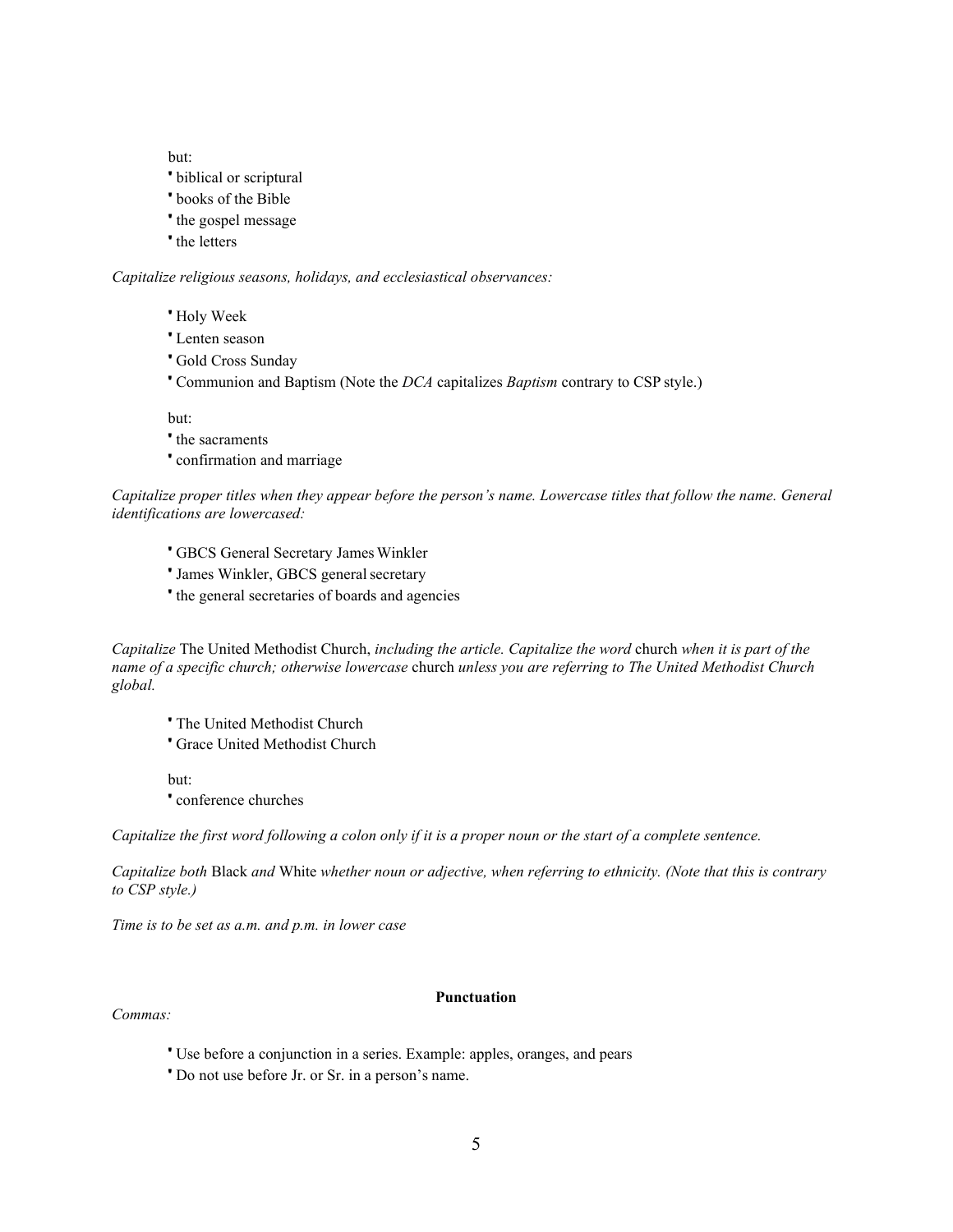but:

- ' biblical or scriptural
- ' books of the Bible
- ' the gospel message
- ' the letters

*Capitalize religious seasons, holidays, and ecclesiastical observances:*

- ' Holy Week
- ' Lenten season
- ' Gold Cross Sunday
- ' Communion and Baptism (Note the *DCA* capitalizes *Baptism* contrary to CSP style.)

but:

- ' the sacraments
- ' confirmation and marriage

*Capitalize proper titles when they appear before the person's name. Lowercase titles that follow the name. General identifications are lowercased:*

- **GBCS General Secretary James Winkler**
- ' James Winkler, GBCS general secretary
- ' the general secretaries of boards and agencies

*Capitalize* The United Methodist Church, *including the article. Capitalize the word* church *when it is part of the name of a specific church; otherwise lowercase* church *unless you are referring to The United Methodist Church global.*

- ' The United Methodist Church
- ' Grace United Methodist Church

but:

' conference churches

*Capitalize the first word following a colon only if it is a proper noun or the start of a complete sentence.*

*Capitalize both* Black *and* White *whether noun or adjective, when referring to ethnicity. (Note that this is contrary to CSP style.)*

*Time is to be set as a.m. and p.m. in lower case*

#### *Commas:*

#### **Punctuation**

- ' Use before a conjunction in a series. Example: apples, oranges, and pears
- ' Do not use before Jr. or Sr. in a person's name.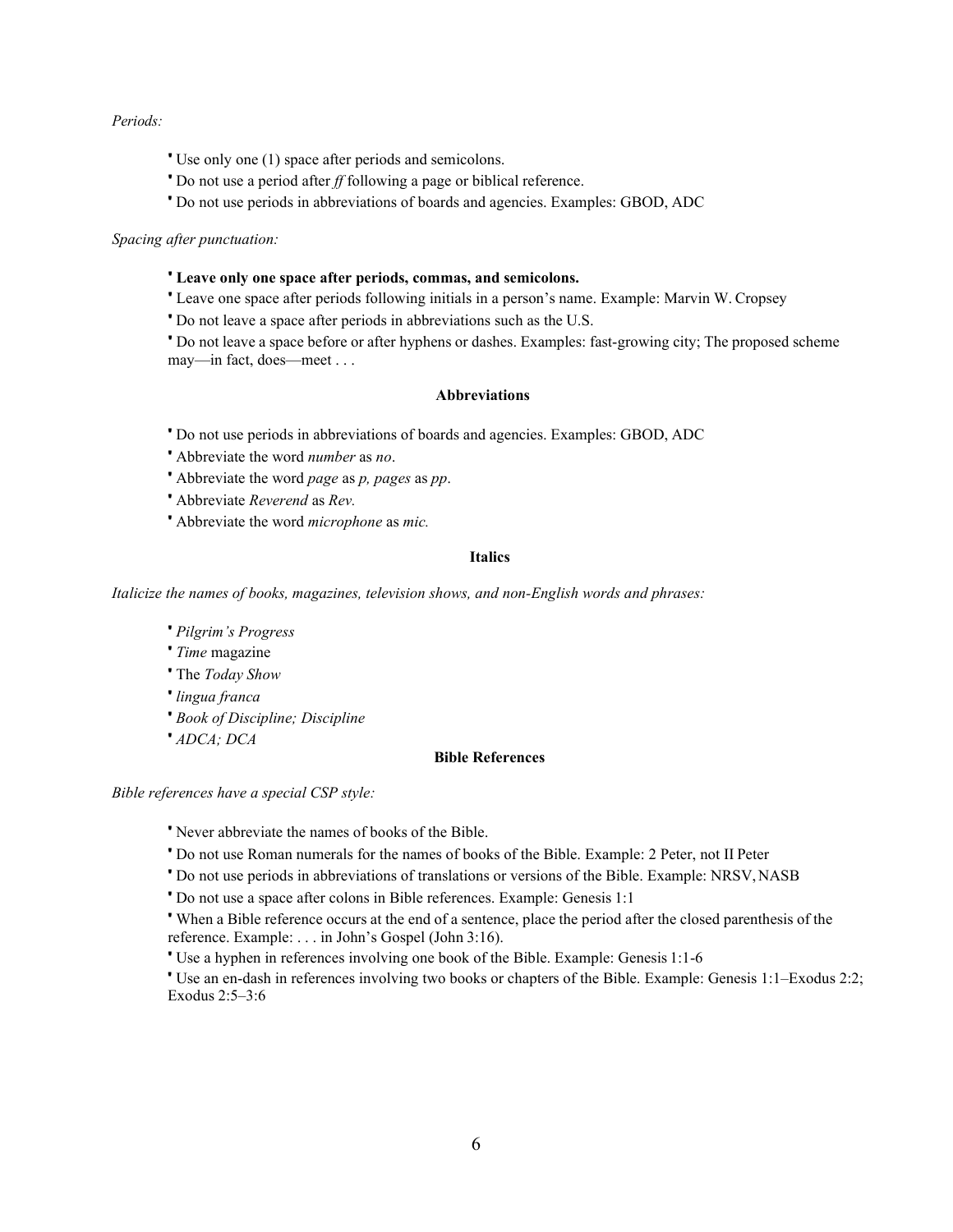#### *Periods:*

- ' Use only one (1) space after periods and semicolons.
- ' Do not use a period after *ff* following a page or biblical reference.
- ' Do not use periods in abbreviations of boards and agencies. Examples: GBOD, ADC

## *Spacing after punctuation:*

#### ' **Leave only one space after periods, commas, and semicolons.**

' Leave one space after periods following initials in a person's name. Example: Marvin W. Cropsey

' Do not leave a space after periods in abbreviations such as the U.S.

' Do not leave a space before or after hyphens or dashes. Examples: fast-growing city; The proposed scheme may—in fact, does—meet . . .

## **Abbreviations**

' Do not use periods in abbreviations of boards and agencies. Examples: GBOD, ADC

- ' Abbreviate the word *number* as *no*.
- ' Abbreviate the word *page* as *p, pages* as *pp*.
- ' Abbreviate *Reverend* as *Rev.*
- ' Abbreviate the word *microphone* as *mic.*

## **Italics**

*Italicize the names of books, magazines, television shows, and non-English words and phrases:*

- ' *Pilgrim's Progress*
- ' *Time* magazine
- ' The *Today Show*
- ' *lingua franca*
- ' *Book of Discipline; Discipline*
- ' *ADCA; DCA*

#### **Bible References**

*Bible references have a special CSP style:*

' Never abbreviate the names of books of the Bible.

- ' Do not use Roman numerals for the names of books of the Bible. Example: 2 Peter, not II Peter
- ' Do not use periods in abbreviations of translations or versions of the Bible. Example: NRSV,NASB

' Do not use a space after colons in Bible references. Example: Genesis 1:1

' When a Bible reference occurs at the end of a sentence, place the period after the closed parenthesis of the reference. Example: . . . in John's Gospel (John 3:16).

' Use a hyphen in references involving one book of the Bible. Example: Genesis 1:1-6

' Use an en-dash in references involving two books or chapters of the Bible. Example: Genesis 1:1–Exodus 2:2; Exodus 2:5–3:6